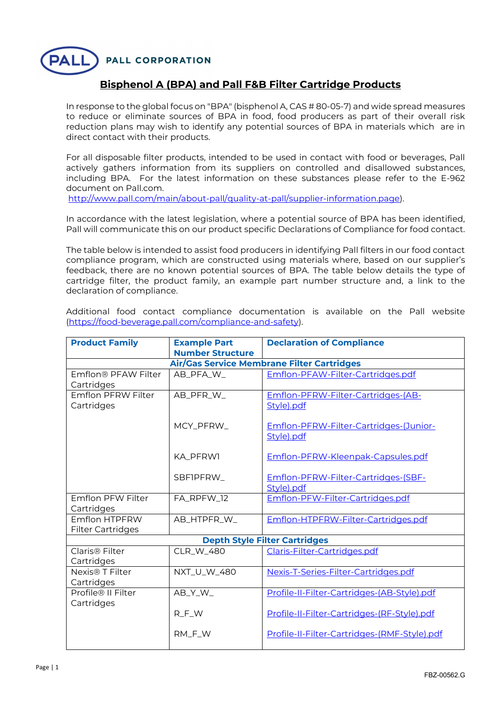**PALL CORPORATION** 

## **Bisphenol A (BPA) and Pall F&B Filter Cartridge Products**

In response to the global focus on "BPA" (bisphenol A, CAS # 80-05-7) and wide spread measures to reduce or eliminate sources of BPA in food, food producers as part of their overall risk reduction plans may wish to identify any potential sources of BPA in materials which are in direct contact with their products.

For all disposable filter products, intended to be used in contact with food or beverages, Pall actively gathers information from its suppliers on controlled and disallowed substances, including BPA. For the latest information on these substances please refer to the E-962 document on Pall.com.

http://www.pall.com/main/about-pall/quality-at-pall/supplier-information.page).

In accordance with the latest legislation, where a potential source of BPA has been identified, Pall will communicate this on our product specific Declarations of Compliance for food contact.

The table below is intended to assist food producers in identifying Pall filters in our food contact compliance program, which are constructed using materials where, based on our supplier's feedback, there are no known potential sources of BPA. The table below details the type of cartridge filter, the product family, an example part number structure and, a link to the declaration of compliance.

Additional food contact compliance documentation is available on the Pall website (https://food-beverage.pall.com/compliance-and-safety).

| <b>Product Family</b>                             | <b>Example Part</b><br><b>Number Structure</b> | <b>Declaration of Compliance</b>                     |  |  |  |
|---------------------------------------------------|------------------------------------------------|------------------------------------------------------|--|--|--|
| <b>Air/Gas Service Membrane Filter Cartridges</b> |                                                |                                                      |  |  |  |
| Emflon® PFAW Filter<br>Cartridges                 | AB_PFA_W_                                      | Emflon-PFAW-Filter-Cartridges.pdf                    |  |  |  |
| Emflon PFRW Filter<br>Cartridges                  | AB_PFR_W_                                      | Emflon-PFRW-Filter-Cartridges-(AB-<br>Style).pdf     |  |  |  |
|                                                   | MCY_PFRW_                                      | Emflon-PFRW-Filter-Cartridges-(Junior-<br>Style).pdf |  |  |  |
|                                                   | KA PFRW1                                       | Emflon-PFRW-Kleenpak-Capsules.pdf                    |  |  |  |
|                                                   | SBFIPFRW                                       | Emflon-PFRW-Filter-Cartridges-(SBF-<br>Style).pdf    |  |  |  |
| Emflon PFW Filter<br>Cartridges                   | FA_RPFW_12                                     | Emflon-PFW-Filter-Cartridges.pdf                     |  |  |  |
| Emflon HTPFRW<br><b>Filter Cartridges</b>         | AB_HTPFR_W_                                    | Emflon-HTPFRW-Filter-Cartridges.pdf                  |  |  |  |
| <b>Depth Style Filter Cartridges</b>              |                                                |                                                      |  |  |  |
| Claris <sup>®</sup> Filter<br>Cartridges          | <b>CLR W 480</b>                               | Claris-Filter-Cartridges.pdf                         |  |  |  |
| Nexis <sup>®</sup> T Filter<br>Cartridges         | NXT_U_W_480                                    | Nexis-T-Series-Filter-Cartridges.pdf                 |  |  |  |
| Profile® II Filter<br>Cartridges                  | AB_Y_W_                                        | Profile-II-Filter-Cartridges-(AB-Style).pdf          |  |  |  |
|                                                   | $R$ <sub>_F</sub> _W                           | Profile-II-Filter-Cartridges-(RF-Style).pdf          |  |  |  |
|                                                   | RM_F_W                                         | Profile-II-Filter-Cartridges-(RMF-Style).pdf         |  |  |  |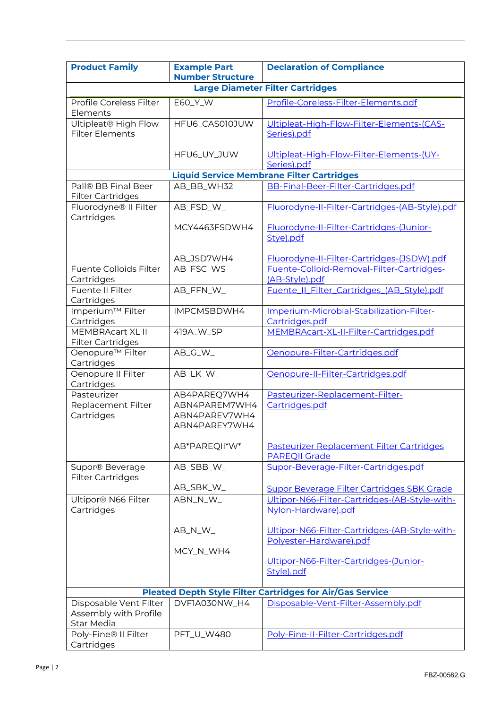| <b>Product Family</b>                            | <b>Example Part</b>     | <b>Declaration of Compliance</b>                                 |  |  |
|--------------------------------------------------|-------------------------|------------------------------------------------------------------|--|--|
|                                                  | <b>Number Structure</b> |                                                                  |  |  |
|                                                  |                         | <b>Large Diameter Filter Cartridges</b>                          |  |  |
| Profile Coreless Filter                          | E60_Y_W                 | Profile-Coreless-Filter-Elements.pdf                             |  |  |
| Elements                                         |                         |                                                                  |  |  |
| Ultipleat <sup>®</sup> High Flow                 | HFU6_CAS010JUW          | Ultipleat-High-Flow-Filter-Elements-(CAS-                        |  |  |
| <b>Filter Elements</b>                           |                         | Series).pdf                                                      |  |  |
|                                                  |                         |                                                                  |  |  |
|                                                  | HFU6_UY_JUW             | Ultipleat-High-Flow-Filter-Elements-(UY-                         |  |  |
|                                                  |                         | Series).pdf                                                      |  |  |
| <b>Liquid Service Membrane Filter Cartridges</b> |                         |                                                                  |  |  |
| Pall® BB Final Beer                              | AB_BB_WH32              | BB-Final-Beer-Filter-Cartridges.pdf                              |  |  |
| <b>Filter Cartridges</b>                         |                         |                                                                  |  |  |
| Fluorodyne® II Filter                            | AB_FSD_W_               | Fluorodyne-II-Filter-Cartridges-(AB-Style).pdf                   |  |  |
| Cartridges                                       |                         |                                                                  |  |  |
|                                                  | MCY4463FSDWH4           | Fluorodyne-II-Filter-Cartridges-(Junior-                         |  |  |
|                                                  |                         | Stye).pdf                                                        |  |  |
|                                                  |                         |                                                                  |  |  |
|                                                  | AB_JSD7WH4              | Fluorodyne-II-Filter-Cartridges-(JSDW).pdf                       |  |  |
| Fuente Colloids Filter                           | AB_FSC_WS               | Fuente-Colloid-Removal-Filter-Cartridges-                        |  |  |
| Cartridges                                       |                         | (AB-Style).pdf                                                   |  |  |
| <b>Fuente II Filter</b>                          | AB_FFN_W_               | Fuente_II_Filter_Cartridges_(AB_Style).pdf                       |  |  |
| Cartridges                                       |                         |                                                                  |  |  |
| Imperium™ Filter                                 | IMPCMSBDWH4             | Imperium-Microbial-Stabilization-Filter-                         |  |  |
| Cartridges                                       |                         | Cartridges.pdf                                                   |  |  |
| MEMBRAcart XL II                                 | 419A_W_SP               | MEMBRAcart-XL-II-Filter-Cartridges.pdf                           |  |  |
| <b>Filter Cartridges</b>                         |                         |                                                                  |  |  |
| Oenopure <sup>™</sup> Filter                     | AB_G_W_                 | Oenopure-Filter-Cartridges.pdf                                   |  |  |
| Cartridges                                       |                         |                                                                  |  |  |
| Oenopure II Filter                               | AB_LK_W_                | Oenopure-II-Filter-Cartridges.pdf                                |  |  |
| Cartridges                                       |                         |                                                                  |  |  |
| Pasteurizer                                      | AB4PAREQ7WH4            | Pasteurizer-Replacement-Filter-                                  |  |  |
| Replacement Filter                               | ABN4PAREM7WH4           | Cartridges.pdf                                                   |  |  |
| Cartridges                                       | ABN4PAREV7WH4           |                                                                  |  |  |
|                                                  | ABN4PAREY7WH4           |                                                                  |  |  |
|                                                  |                         |                                                                  |  |  |
|                                                  | AB*PAREQII*W*           | Pasteurizer Replacement Filter Cartridges                        |  |  |
|                                                  |                         | <b>PAREQII Grade</b>                                             |  |  |
| Supor® Beverage                                  | AB_SBB_W_               | Supor-Beverage-Filter-Cartridges.pdf                             |  |  |
| <b>Filter Cartridges</b>                         |                         |                                                                  |  |  |
|                                                  | AB_SBK_W_               | Supor Beverage Filter Cartridges SBK Grade                       |  |  |
| Ultipor® N66 Filter                              | ABN_N_W_                | Ultipor-N66-Filter-Cartridges-(AB-Style-with-                    |  |  |
| Cartridges                                       |                         | Nylon-Hardware).pdf                                              |  |  |
|                                                  |                         |                                                                  |  |  |
|                                                  | AB_N_W_                 | Ultipor-N66-Filter-Cartridges-(AB-Style-with-                    |  |  |
|                                                  |                         | Polyester-Hardware).pdf                                          |  |  |
|                                                  | MCY_N_WH4               |                                                                  |  |  |
|                                                  |                         | Ultipor-N66-Filter-Cartridges-(Junior-                           |  |  |
|                                                  |                         | Style).pdf                                                       |  |  |
|                                                  |                         |                                                                  |  |  |
|                                                  |                         | <b>Pleated Depth Style Filter Cartridges for Air/Gas Service</b> |  |  |
| Disposable Vent Filter                           | DVF1A030NW_H4           | Disposable-Vent-Filter-Assembly.pdf                              |  |  |
| Assembly with Profile                            |                         |                                                                  |  |  |
| <b>Star Media</b>                                |                         |                                                                  |  |  |
| Poly-Fine® II Filter                             | PFT_U_W480              | Poly-Fine-II-Filter-Cartridges.pdf                               |  |  |
| Cartridges                                       |                         |                                                                  |  |  |